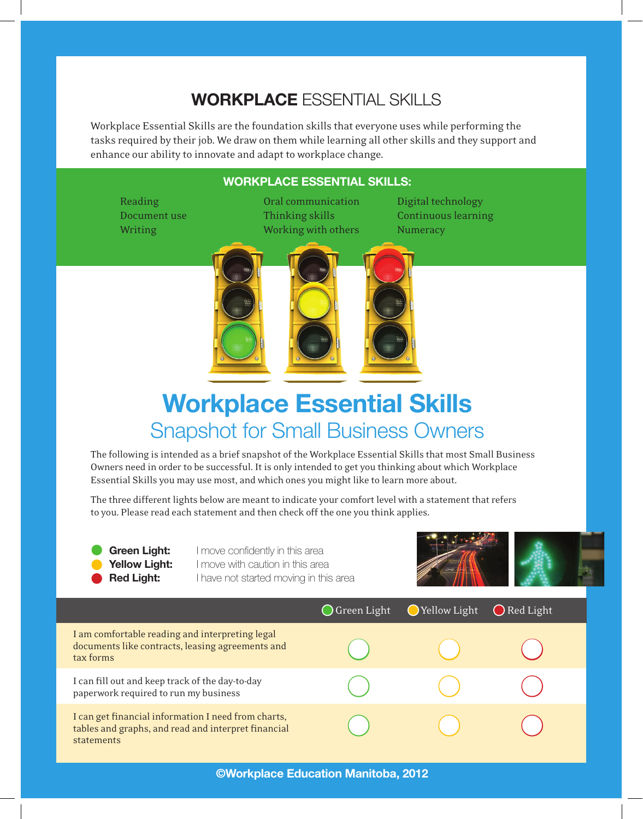## **WORKPLACE** ESSENTIAL SKILLS

Workplace Essential Skills are the foundation skills that everyone uses while performing the tasks required by their job. We draw on them while learning all other skills and they support and enhance our ability to innovate and adapt to workplace change.

## **WORKPLACE ESSENTIAL SKILLS:**

Reading **Communication** Digital technology Document use Thinking skills Continuous learning Writing Working Working with others Numeracy



## **Workplace Essential Skills**  Snapshot for Small Business Owners

The following is intended as a brief snapshot of the Workplace Essential Skills that most Small Business Owners need in order to be successful. It is only intended to get you thinking about which Workplace Essential Skills you may use most, and which ones you might like to learn more about.

The three different lights below are meant to indicate your comfort level with a statement that refers to you. Please read each statement and then check off the one you think applies.

**Green Light:** I move confidently in this area **Yellow Light:** I move with caution in this area **Red Light:** I have not started moving in this area



|                                                                                                                          | $\bigcirc$ Green Light | ◯ Yellow Light | $\bigcirc$ Red Light |
|--------------------------------------------------------------------------------------------------------------------------|------------------------|----------------|----------------------|
| I am comfortable reading and interpreting legal<br>documents like contracts, leasing agreements and<br>tax forms         |                        |                |                      |
| I can fill out and keep track of the day-to-day<br>paperwork required to run my business                                 |                        |                |                      |
| I can get financial information I need from charts,<br>tables and graphs, and read and interpret financial<br>statements |                        |                |                      |